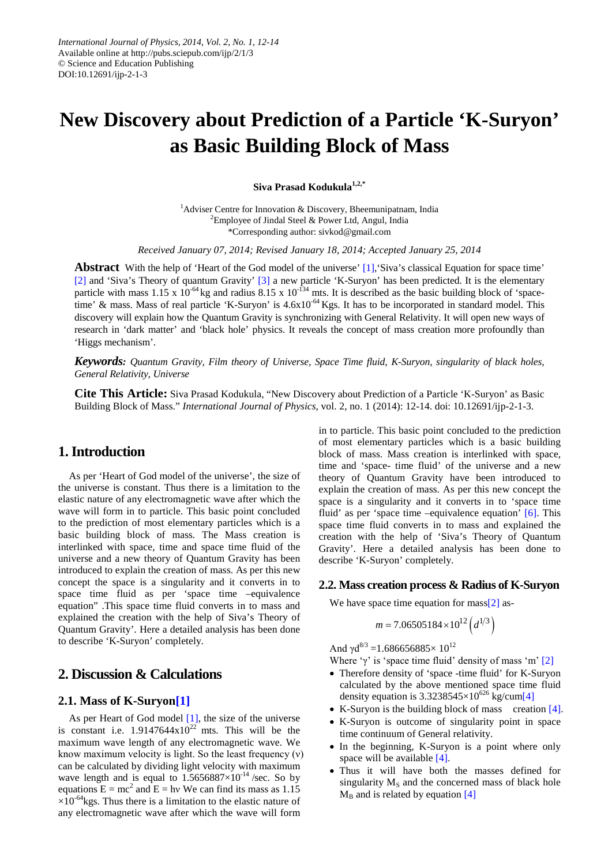# **New Discovery about Prediction of a Particle 'K-Suryon' as Basic Building Block of Mass**

**Siva Prasad Kodukula1,2,\***

<sup>1</sup>Adviser Centre for Innovation & Discovery, Bheemunipatnam, India <sup>2</sup> Employee of Jindal Steel & Power Ltd, Angul, India \*Corresponding author: sivkod@gmail.com

*Received January 07, 2014; Revised January 18, 2014; Accepted January 25, 2014*

**Abstract** With the help of 'Heart of the God model of the universe' [\[1\],'](#page-2-0)Siva's classical Equation for space time' [\[2\]](#page-2-1) and 'Siva's Theory of quantum Gravity' [\[3\]](#page-2-2) a new particle 'K-Suryon' has been predicted. It is the elementary particle with mass  $1.15 \times 10^{-64}$  kg and radius  $8.15 \times 10^{-134}$  mts. It is described as the basic building block of 'spacetime' & mass. Mass of real particle 'K-Suryon' is 4.6x10<sup>-64</sup> Kgs. It has to be incorporated in standard model. This discovery will explain how the Quantum Gravity is synchronizing with General Relativity. It will open new ways of research in 'dark matter' and 'black hole' physics. It reveals the concept of mass creation more profoundly than 'Higgs mechanism'.

*Keywords: Quantum Gravity, Film theory of Universe, Space Time fluid, K-Suryon, singularity of black holes, General Relativity, Universe*

**Cite This Article:** Siva Prasad Kodukula, "New Discovery about Prediction of a Particle 'K-Suryon' as Basic Building Block of Mass." *International Journal of Physics*, vol. 2, no. 1 (2014): 12-14. doi: 10.12691/ijp-2-1-3.

## **1. Introduction**

As per 'Heart of God model of the universe', the size of the universe is constant. Thus there is a limitation to the elastic nature of any electromagnetic wave after which the wave will form in to particle. This basic point concluded to the prediction of most elementary particles which is a basic building block of mass. The Mass creation is interlinked with space, time and space time fluid of the universe and a new theory of Quantum Gravity has been introduced to explain the creation of mass. As per this new concept the space is a singularity and it converts in to space time fluid as per 'space time –equivalence equation" .This space time fluid converts in to mass and explained the creation with the help of Siva's Theory of Quantum Gravity'. Here a detailed analysis has been done to describe 'K-Suryon' completely.

## **2. Discussion & Calculations**

#### **2.1. Mass of K-Suryo[n\[1\]](#page-2-0)**

As per Heart of God model [\[1\],](#page-2-0) the size of the universe is constant i.e.  $1.9147644 \times 10^{22}$  mts. This will be the maximum wave length of any electromagnetic wave. We know maximum velocity is light. So the least frequency (ν) can be calculated by dividing light velocity with maximum wave length and is equal to  $1.5656887\times10^{-14}$  /sec. So by equations  $E = mc^2$  and  $E = hv$  We can find its mass as 1.15  $\times 10^{-64}$ kgs. Thus there is a limitation to the elastic nature of any electromagnetic wave after which the wave will form

in to particle. This basic point concluded to the prediction of most elementary particles which is a basic building block of mass. Mass creation is interlinked with space, time and 'space- time fluid' of the universe and a new theory of Quantum Gravity have been introduced to explain the creation of mass. As per this new concept the space is a singularity and it converts in to 'space time fluid' as per 'space time –equivalence equation' [\[6\].](#page-2-3) This space time fluid converts in to mass and explained the creation with the help of 'Siva's Theory of Quantum Gravity'. Here a detailed analysis has been done to describe 'K-Suryon' completely.

#### **2.2. Mass creation process & Radius of K-Suryon**

We have space time equation for mas[s\[2\]](#page-2-1) as-

$$
m = 7.06505184 \times 10^{12} \left( d^{1/3} \right)
$$

And  $\gamma d^{8/3} = 1.686656885 \times 10^{12}$ 

Where 'γ' is 'space time fluid' density of mass 'm'  $[2]$ 

- Therefore density of 'space -time fluid' for K-Suryon calculated by the above mentioned space time fluid density equation is  $3.3238545\times10^{626}$  kg/cu[m\[4\]](#page-2-4)
- K-Suryon is the building block of mass creation [\[4\].](#page-2-4)
- K-Suryon is outcome of singularity point in space time continuum of General relativity.
- In the beginning, K-Suryon is a point where only space will be available [\[4\].](#page-2-4)
- Thus it will have both the masses defined for singularity  $M<sub>S</sub>$  and the concerned mass of black hole  $M_B$  and is related by equation [\[4\]](#page-2-4)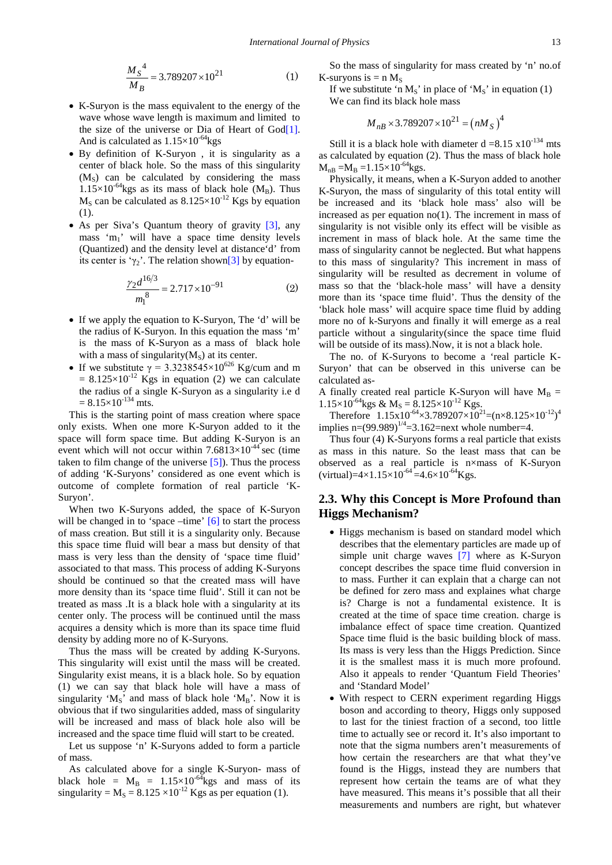$$
\frac{M_S^4}{M_B} = 3.789207 \times 10^{21} \tag{1}
$$

- K-Suryon is the mass equivalent to the energy of the wave whose wave length is maximum and limited to the size of the universe or Dia of Heart of  $God[1]$ . And is calculated as  $1.15\times10^{-64}$ kgs
- By definition of K-Suryon , it is singularity as a center of black hole. So the mass of this singularity  $(M<sub>s</sub>)$  can be calculated by considering the mass  $1.15\times10^{-64}$ kgs as its mass of black hole (M<sub>B</sub>). Thus  $M<sub>S</sub>$  can be calculated as  $8.125 \times 10^{-12}$  Kgs by equation (1).
- As per Siva's Quantum theory of gravity [\[3\],](#page-2-2) any mass 'm<sub>1</sub>' will have a space time density levels (Quantized) and the density level at distance'd' from its center is ' $\gamma_2$ '. The relation show[n\[3\]](#page-2-2) by equation-

$$
\frac{\gamma_2 d^{16/3}}{m_1^8} = 2.717 \times 10^{-91}
$$
 (2)

- If we apply the equation to K-Suryon, The 'd' will be the radius of K-Suryon. In this equation the mass 'm' is the mass of K-Suryon as a mass of black hole with a mass of singularity $(M<sub>s</sub>)$  at its center.
- If we substitute  $\gamma = 3.3238545 \times 10^{626}$  Kg/cum and m  $= 8.125 \times 10^{-12}$  Kgs in equation (2) we can calculate the radius of a single K-Suryon as a singularity i.e d  $= 8.15 \times 10^{-134}$  mts.

This is the starting point of mass creation where space only exists. When one more K-Suryon added to it the space will form space time. But adding K-Suryon is an event which will not occur within  $7.6813\times10^{-44}$  sec (time taken to film change of the universe  $[5]$ ). Thus the process of adding 'K-Suryons' considered as one event which is outcome of complete formation of real particle 'K-Suryon'.

When two K-Suryons added, the space of K-Suryon will be changed in to 'space –time'  $\lceil 6 \rceil$  to start the process of mass creation. But still it is a singularity only. Because this space time fluid will bear a mass but density of that mass is very less than the density of 'space time fluid' associated to that mass. This process of adding K-Suryons should be continued so that the created mass will have more density than its 'space time fluid'. Still it can not be treated as mass .It is a black hole with a singularity at its center only. The process will be continued until the mass acquires a density which is more than its space time fluid density by adding more no of K-Suryons.

Thus the mass will be created by adding K-Suryons. This singularity will exist until the mass will be created. Singularity exist means, it is a black hole. So by equation (1) we can say that black hole will have a mass of singularity ' $M_S$ ' and mass of black hole ' $M_B$ '. Now it is obvious that if two singularities added, mass of singularity will be increased and mass of black hole also will be increased and the space time fluid will start to be created.

Let us suppose 'n' K-Suryons added to form a particle of mass.

As calculated above for a single K-Suryon- mass of black hole =  $M_B$  = 1.15×10<sup>-64</sup>kgs and mass of its singularity =  $M_s$  = 8.125 ×10<sup>-12</sup> Kgs as per equation (1).

So the mass of singularity for mass created by 'n' no.of K-suryons is  $= n M<sub>s</sub>$ 

If we substitute 'n  $M_S$ ' in place of ' $M_S$ ' in equation (1) We can find its black hole mass

$$
M_{nB} \times 3.789207 \times 10^{21} = (nM_S)^4
$$

Still it is a black hole with diameter  $d = 8.15 \times 10^{-134}$  mts as calculated by equation (2). Thus the mass of black hole  $M_{nB} = M_B = 1.15 \times 10^{-64}$ kgs.

Physically, it means, when a K-Suryon added to another K-Suryon, the mass of singularity of this total entity will be increased and its 'black hole mass' also will be increased as per equation no(1). The increment in mass of singularity is not visible only its effect will be visible as increment in mass of black hole. At the same time the mass of singularity cannot be neglected. But what happens to this mass of singularity? This increment in mass of singularity will be resulted as decrement in volume of mass so that the 'black-hole mass' will have a density more than its 'space time fluid'. Thus the density of the 'black hole mass' will acquire space time fluid by adding more no of k-Suryons and finally it will emerge as a real particle without a singularity(since the space time fluid will be outside of its mass). Now, it is not a black hole.

The no. of K-Suryons to become a 'real particle K-Suryon' that can be observed in this universe can be calculated as-

A finally created real particle K-Suryon will have  $M_B =$  $1.15\times10^{-64}$ kgs & M<sub>S</sub> =  $8.125\times10^{-12}$  Kgs.

Therefore  $1.15 \times 10^{-64} \times 3.789207 \times 10^{21} = (n \times 8.125 \times 10^{-12})^4$ implies n= $(99.989)^{1/4}$ =3.162=next whole number=4.

Thus four (4) K-Suryons forms a real particle that exists as mass in this nature. So the least mass that can be observed as a real particle is n×mass of K-Suryon (virtual)= $4 \times 1.15 \times 10^{-64}$  = $4.6 \times 10^{-64}$  Kgs.

## **2.3. Why this Concept is More Profound than Higgs Mechanism?**

- Higgs mechanism is based on standard model which describes that the elementary particles are made up of simple unit charge waves [\[7\]](#page-2-6) where as K-Suryon concept describes the space time fluid conversion in to mass. Further it can explain that a charge can not be defined for zero mass and explaines what charge is? Charge is not a fundamental existence. It is created at the time of space time creation. charge is imbalance effect of space time creation. Quantized Space time fluid is the basic building block of mass. Its mass is very less than the Higgs Prediction. Since it is the smallest mass it is much more profound. Also it appeals to render 'Quantum Field Theories' and 'Standard Model'
- With respect to CERN experiment regarding Higgs boson and according to theory, Higgs only supposed to last for the tiniest fraction of a second, too little time to actually see or record it. It's also important to note that the sigma numbers aren't measurements of how certain the researchers are that what they've found is the Higgs, instead they are numbers that represent how certain the teams are of what they have measured. This means it's possible that all their measurements and numbers are right, but whatever